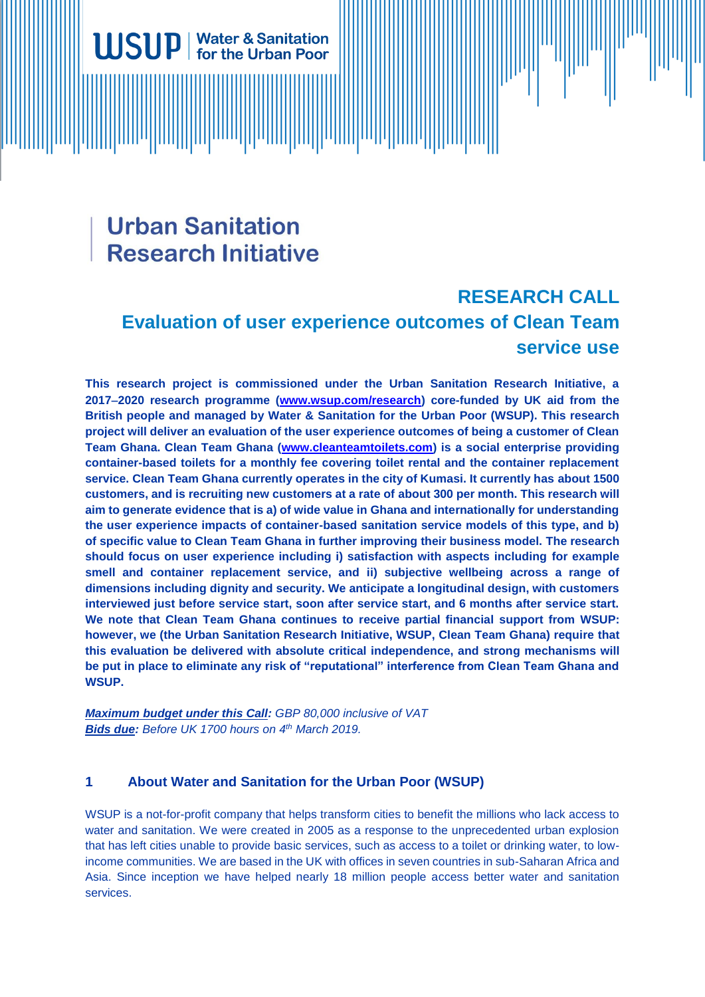# **Urban Sanitation Research Initiative**

**Water & Sanitation** for the Urban Poor

# **RESEARCH CALL Evaluation of user experience outcomes of Clean Team service use**

**This research project is commissioned under the Urban Sanitation Research Initiative, a 2017**−**2020 research programme [\(www.wsup.com/research\)](http://www.wsup.com/research) core-funded by UK aid from the British people and managed by Water & Sanitation for the Urban Poor (WSUP). This research project will deliver an evaluation of the user experience outcomes of being a customer of Clean Team Ghana. Clean Team Ghana [\(www.cleanteamtoilets.com\)](http://www.cleanteamtoilets.com/) is a social enterprise providing container-based toilets for a monthly fee covering toilet rental and the container replacement service. Clean Team Ghana currently operates in the city of Kumasi. It currently has about 1500 customers, and is recruiting new customers at a rate of about 300 per month. This research will aim to generate evidence that is a) of wide value in Ghana and internationally for understanding the user experience impacts of container-based sanitation service models of this type, and b) of specific value to Clean Team Ghana in further improving their business model. The research should focus on user experience including i) satisfaction with aspects including for example smell and container replacement service, and ii) subjective wellbeing across a range of dimensions including dignity and security. We anticipate a longitudinal design, with customers interviewed just before service start, soon after service start, and 6 months after service start. We note that Clean Team Ghana continues to receive partial financial support from WSUP: however, we (the Urban Sanitation Research Initiative, WSUP, Clean Team Ghana) require that this evaluation be delivered with absolute critical independence, and strong mechanisms will be put in place to eliminate any risk of "reputational" interference from Clean Team Ghana and WSUP.** 

*Maximum budget under this Call: GBP 80,000 inclusive of VAT Bids due: Before UK 1700 hours on 4 th March 2019.* 

# **1 About Water and Sanitation for the Urban Poor (WSUP)**

WSUP is a not-for-profit company that helps transform cities to benefit the millions who lack access to water and sanitation. We were created in 2005 as a response to the unprecedented urban explosion that has left cities unable to provide basic services, such as access to a toilet or drinking water, to lowincome communities. We are based in the UK with offices in seven countries in sub-Saharan Africa and Asia. Since inception we have helped nearly 18 million people access better water and sanitation services.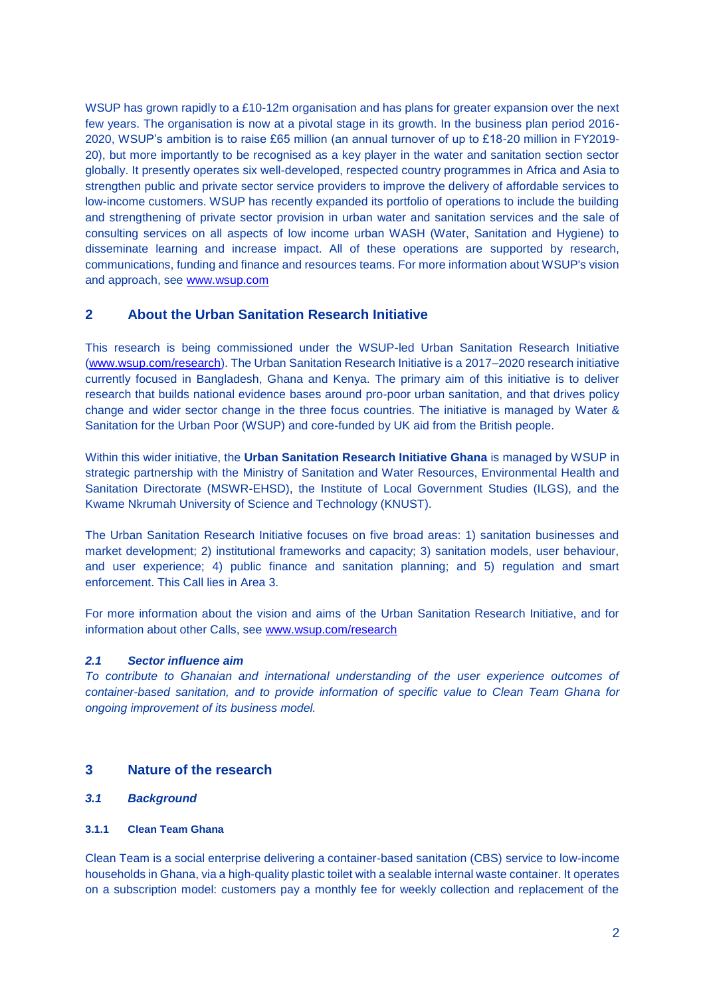WSUP has grown rapidly to a £10-12m organisation and has plans for greater expansion over the next few years. The organisation is now at a pivotal stage in its growth. In the business plan period 2016- 2020, WSUP's ambition is to raise £65 million (an annual turnover of up to £18-20 million in FY2019- 20), but more importantly to be recognised as a key player in the water and sanitation section sector globally. It presently operates six well-developed, respected country programmes in Africa and Asia to strengthen public and private sector service providers to improve the delivery of affordable services to low-income customers. WSUP has recently expanded its portfolio of operations to include the building and strengthening of private sector provision in urban water and sanitation services and the sale of consulting services on all aspects of low income urban WASH (Water, Sanitation and Hygiene) to disseminate learning and increase impact. All of these operations are supported by research, communications, funding and finance and resources teams. For more information about WSUP's vision and approach, see [www.wsup.com](http://www.wsup.com/)

# **2 About the Urban Sanitation Research Initiative**

This research is being commissioned under the WSUP-led Urban Sanitation Research Initiative [\(www.wsup.com/research\)](http://www.wsup.com/research). The Urban Sanitation Research Initiative is a 2017–2020 research initiative currently focused in Bangladesh, Ghana and Kenya. The primary aim of this initiative is to deliver research that builds national evidence bases around pro-poor urban sanitation, and that drives policy change and wider sector change in the three focus countries. The initiative is managed by Water & Sanitation for the Urban Poor (WSUP) and core-funded by UK aid from the British people.

Within this wider initiative, the **Urban Sanitation Research Initiative Ghana** is managed by WSUP in strategic partnership with the Ministry of Sanitation and Water Resources, Environmental Health and Sanitation Directorate (MSWR-EHSD), the Institute of Local Government Studies (ILGS), and the Kwame Nkrumah University of Science and Technology (KNUST).

The Urban Sanitation Research Initiative focuses on five broad areas: 1) sanitation businesses and market development; 2) institutional frameworks and capacity; 3) sanitation models, user behaviour, and user experience; 4) public finance and sanitation planning; and 5) regulation and smart enforcement. This Call lies in Area 3.

For more information about the vision and aims of the Urban Sanitation Research Initiative, and for information about other Calls, see [www.wsup.com/research](http://www.wsup.com/research)

#### *2.1 Sector influence aim*

*To contribute to Ghanaian and international understanding of the user experience outcomes of container-based sanitation, and to provide information of specific value to Clean Team Ghana for ongoing improvement of its business model.*

# **3 Nature of the research**

# *3.1 Background*

#### **3.1.1 Clean Team Ghana**

Clean Team is a social enterprise delivering a container-based sanitation (CBS) service to low-income households in Ghana, via a high-quality plastic toilet with a sealable internal waste container. It operates on a subscription model: customers pay a monthly fee for weekly collection and replacement of the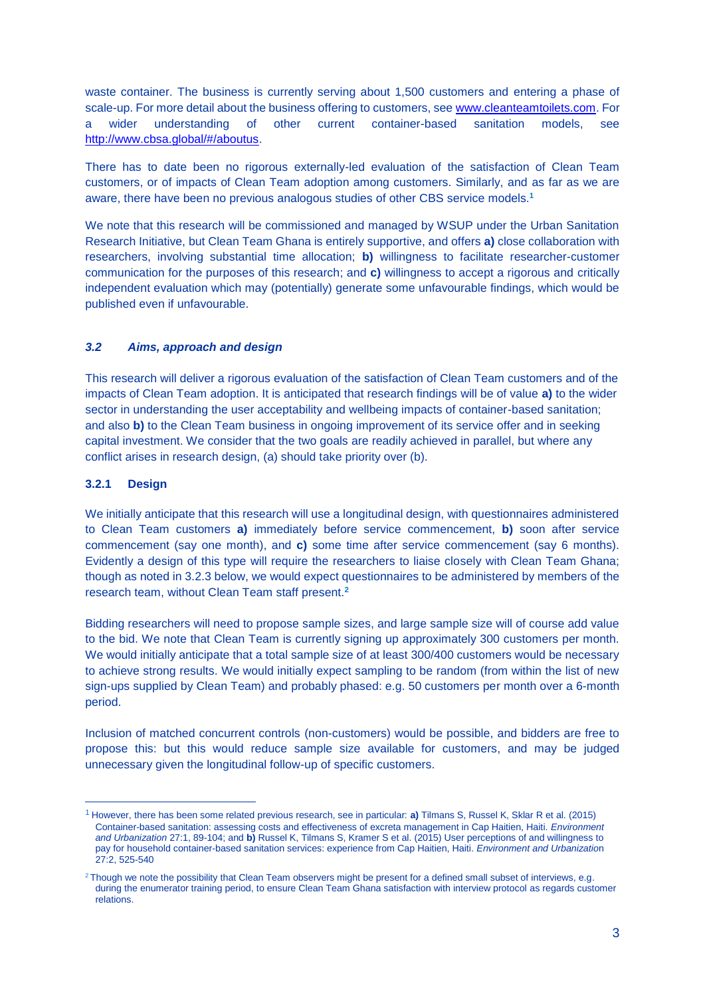waste container. The business is currently serving about 1,500 customers and entering a phase of scale-up. For more detail about the business offering to customers, see [www.cleanteamtoilets.com.](http://www.cleanteamtoilets.com/) For a wider understanding of other current container-based sanitation models, see [http://www.cbsa.global/#/aboutus.](http://www.cbsa.global/#/aboutus)

There has to date been no rigorous externally-led evaluation of the satisfaction of Clean Team customers, or of impacts of Clean Team adoption among customers. Similarly, and as far as we are aware, there have been no previous analogous studies of other CBS service models.**<sup>1</sup>**

We note that this research will be commissioned and managed by WSUP under the Urban Sanitation Research Initiative, but Clean Team Ghana is entirely supportive, and offers **a)** close collaboration with researchers, involving substantial time allocation; **b)** willingness to facilitate researcher-customer communication for the purposes of this research; and **c)** willingness to accept a rigorous and critically independent evaluation which may (potentially) generate some unfavourable findings, which would be published even if unfavourable.

#### *3.2 Aims, approach and design*

This research will deliver a rigorous evaluation of the satisfaction of Clean Team customers and of the impacts of Clean Team adoption. It is anticipated that research findings will be of value **a)** to the wider sector in understanding the user acceptability and wellbeing impacts of container-based sanitation; and also **b)** to the Clean Team business in ongoing improvement of its service offer and in seeking capital investment. We consider that the two goals are readily achieved in parallel, but where any conflict arises in research design, (a) should take priority over (b).

#### **3.2.1 Design**

 $\overline{a}$ 

We initially anticipate that this research will use a longitudinal design, with questionnaires administered to Clean Team customers **a)** immediately before service commencement, **b)** soon after service commencement (say one month), and **c)** some time after service commencement (say 6 months). Evidently a design of this type will require the researchers to liaise closely with Clean Team Ghana; though as noted in 3.2.3 below, we would expect questionnaires to be administered by members of the research team, without Clean Team staff present.**<sup>2</sup>**

Bidding researchers will need to propose sample sizes, and large sample size will of course add value to the bid. We note that Clean Team is currently signing up approximately 300 customers per month. We would initially anticipate that a total sample size of at least 300/400 customers would be necessary to achieve strong results. We would initially expect sampling to be random (from within the list of new sign-ups supplied by Clean Team) and probably phased: e.g. 50 customers per month over a 6-month period.

Inclusion of matched concurrent controls (non-customers) would be possible, and bidders are free to propose this: but this would reduce sample size available for customers, and may be judged unnecessary given the longitudinal follow-up of specific customers.

<sup>1</sup> However, there has been some related previous research, see in particular: **a)** Tilmans S, Russel K, Sklar R et al. (2015) Container-based sanitation: assessing costs and effectiveness of excreta management in Cap Haitien, Haiti. *Environment and Urbanization* 27:1, 89-104; and **b)** Russel K, Tilmans S, Kramer S et al. (2015) User perceptions of and willingness to pay for household container-based sanitation services: experience from Cap Haitien, Haiti. *Environment and Urbanizatio*n 27:2, 525-540

<sup>&</sup>lt;sup>2</sup> Though we note the possibility that Clean Team observers might be present for a defined small subset of interviews, e.g. during the enumerator training period, to ensure Clean Team Ghana satisfaction with interview protocol as regards customer relations.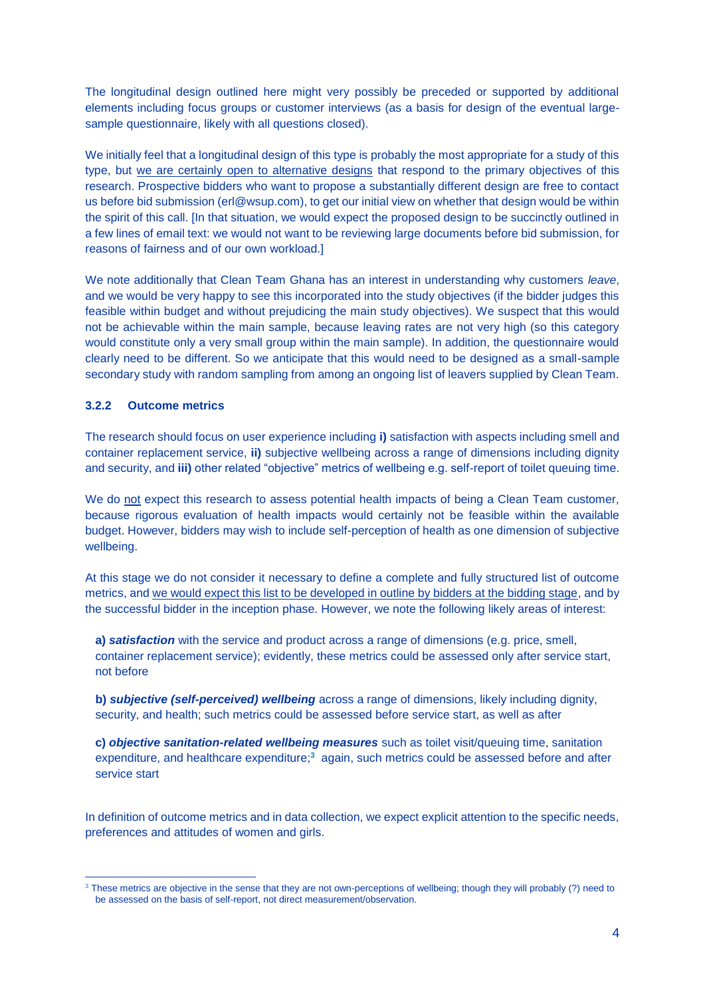The longitudinal design outlined here might very possibly be preceded or supported by additional elements including focus groups or customer interviews (as a basis for design of the eventual largesample questionnaire, likely with all questions closed).

We initially feel that a longitudinal design of this type is probably the most appropriate for a study of this type, but we are certainly open to alternative designs that respond to the primary objectives of this research. Prospective bidders who want to propose a substantially different design are free to contact us before bid submission (erl@wsup.com), to get our initial view on whether that design would be within the spirit of this call. [In that situation, we would expect the proposed design to be succinctly outlined in a few lines of email text: we would not want to be reviewing large documents before bid submission, for reasons of fairness and of our own workload.]

We note additionally that Clean Team Ghana has an interest in understanding why customers *leave*, and we would be very happy to see this incorporated into the study objectives (if the bidder judges this feasible within budget and without prejudicing the main study objectives). We suspect that this would not be achievable within the main sample, because leaving rates are not very high (so this category would constitute only a very small group within the main sample). In addition, the questionnaire would clearly need to be different. So we anticipate that this would need to be designed as a small-sample secondary study with random sampling from among an ongoing list of leavers supplied by Clean Team.

#### **3.2.2 Outcome metrics**

 $\overline{a}$ 

The research should focus on user experience including **i)** satisfaction with aspects including smell and container replacement service, **ii)** subjective wellbeing across a range of dimensions including dignity and security, and **iii)** other related "objective" metrics of wellbeing e.g. self-report of toilet queuing time.

We do not expect this research to assess potential health impacts of being a Clean Team customer, because rigorous evaluation of health impacts would certainly not be feasible within the available budget. However, bidders may wish to include self-perception of health as one dimension of subjective wellbeing.

At this stage we do not consider it necessary to define a complete and fully structured list of outcome metrics, and we would expect this list to be developed in outline by bidders at the bidding stage, and by the successful bidder in the inception phase. However, we note the following likely areas of interest:

**a)** *satisfaction* with the service and product across a range of dimensions (e.g. price, smell, container replacement service); evidently, these metrics could be assessed only after service start, not before

**b)** *subjective (self-perceived) wellbeing* across a range of dimensions, likely including dignity, security, and health; such metrics could be assessed before service start, as well as after

**c)** *objective sanitation-related wellbeing measures* such as toilet visit/queuing time, sanitation expenditure, and healthcare expenditure;<sup>3</sup> again, such metrics could be assessed before and after service start

In definition of outcome metrics and in data collection, we expect explicit attention to the specific needs, preferences and attitudes of women and girls.

<sup>&</sup>lt;sup>3</sup> These metrics are objective in the sense that they are not own-perceptions of wellbeing; though they will probably (?) need to be assessed on the basis of self-report, not direct measurement/observation.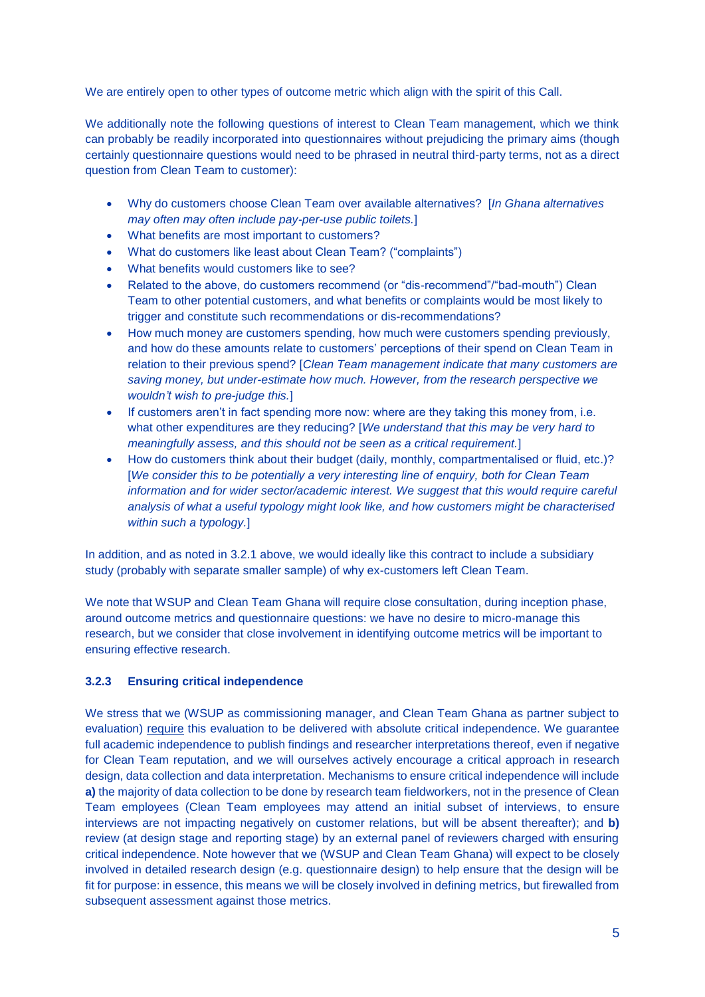We are entirely open to other types of outcome metric which align with the spirit of this Call.

We additionally note the following questions of interest to Clean Team management, which we think can probably be readily incorporated into questionnaires without prejudicing the primary aims (though certainly questionnaire questions would need to be phrased in neutral third-party terms, not as a direct question from Clean Team to customer):

- Why do customers choose Clean Team over available alternatives? [*In Ghana alternatives may often may often include pay-per-use public toilets.*]
- What benefits are most important to customers?
- What do customers like least about Clean Team? ("complaints")
- What benefits would customers like to see?
- Related to the above, do customers recommend (or "dis-recommend"/"bad-mouth") Clean Team to other potential customers, and what benefits or complaints would be most likely to trigger and constitute such recommendations or dis-recommendations?
- How much money are customers spending, how much were customers spending previously. and how do these amounts relate to customers' perceptions of their spend on Clean Team in relation to their previous spend? [*Clean Team management indicate that many customers are saving money, but under-estimate how much. However, from the research perspective we wouldn't wish to pre-judge this.*]
- If customers aren't in fact spending more now: where are they taking this money from, i.e. what other expenditures are they reducing? [*We understand that this may be very hard to meaningfully assess, and this should not be seen as a critical requirement.*]
- How do customers think about their budget (daily, monthly, compartmentalised or fluid, etc.)? [*We consider this to be potentially a very interesting line of enquiry, both for Clean Team information and for wider sector/academic interest. We suggest that this would require careful analysis of what a useful typology might look like, and how customers might be characterised within such a typology.*]

In addition, and as noted in 3.2.1 above, we would ideally like this contract to include a subsidiary study (probably with separate smaller sample) of why ex-customers left Clean Team.

We note that WSUP and Clean Team Ghana will require close consultation, during inception phase, around outcome metrics and questionnaire questions: we have no desire to micro-manage this research, but we consider that close involvement in identifying outcome metrics will be important to ensuring effective research.

#### **3.2.3 Ensuring critical independence**

We stress that we (WSUP as commissioning manager, and Clean Team Ghana as partner subject to evaluation) require this evaluation to be delivered with absolute critical independence. We guarantee full academic independence to publish findings and researcher interpretations thereof, even if negative for Clean Team reputation, and we will ourselves actively encourage a critical approach in research design, data collection and data interpretation. Mechanisms to ensure critical independence will include **a)** the majority of data collection to be done by research team fieldworkers, not in the presence of Clean Team employees (Clean Team employees may attend an initial subset of interviews, to ensure interviews are not impacting negatively on customer relations, but will be absent thereafter); and **b)** review (at design stage and reporting stage) by an external panel of reviewers charged with ensuring critical independence. Note however that we (WSUP and Clean Team Ghana) will expect to be closely involved in detailed research design (e.g. questionnaire design) to help ensure that the design will be fit for purpose: in essence, this means we will be closely involved in defining metrics, but firewalled from subsequent assessment against those metrics.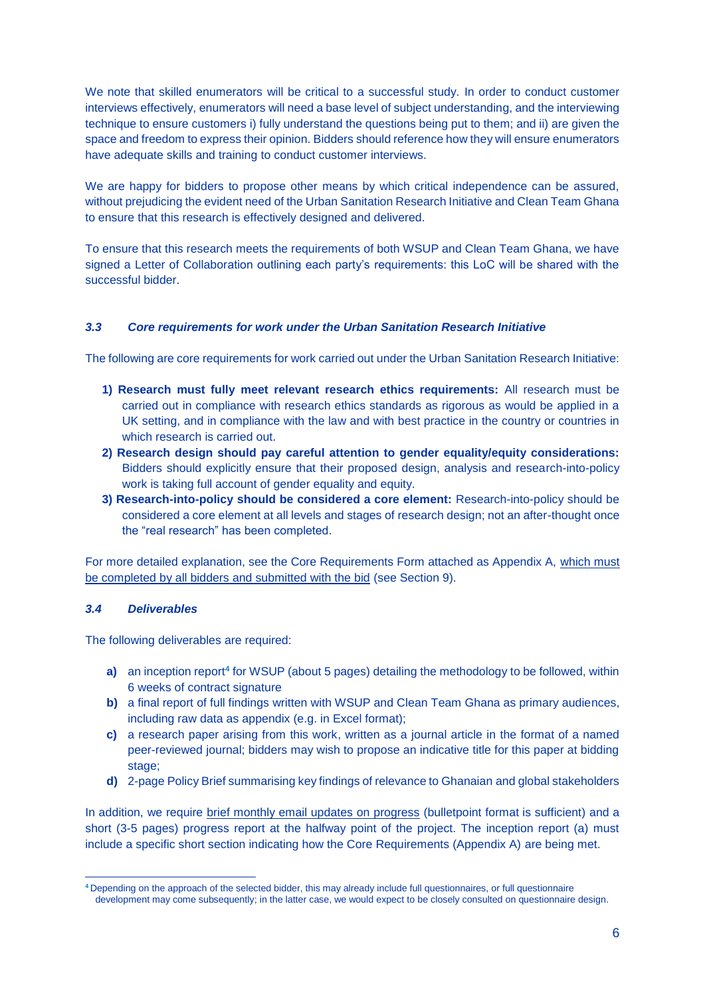We note that skilled enumerators will be critical to a successful study. In order to conduct customer interviews effectively, enumerators will need a base level of subject understanding, and the interviewing technique to ensure customers i) fully understand the questions being put to them; and ii) are given the space and freedom to express their opinion. Bidders should reference how they will ensure enumerators have adequate skills and training to conduct customer interviews.

We are happy for bidders to propose other means by which critical independence can be assured. without prejudicing the evident need of the Urban Sanitation Research Initiative and Clean Team Ghana to ensure that this research is effectively designed and delivered.

To ensure that this research meets the requirements of both WSUP and Clean Team Ghana, we have signed a Letter of Collaboration outlining each party's requirements: this LoC will be shared with the successful bidder.

#### *3.3 Core requirements for work under the Urban Sanitation Research Initiative*

The following are core requirements for work carried out under the Urban Sanitation Research Initiative:

- **1) Research must fully meet relevant research ethics requirements:** All research must be carried out in compliance with research ethics standards as rigorous as would be applied in a UK setting, and in compliance with the law and with best practice in the country or countries in which research is carried out.
- **2) Research design should pay careful attention to gender equality/equity considerations:** Bidders should explicitly ensure that their proposed design, analysis and research-into-policy work is taking full account of gender equality and equity.
- **3) Research-into-policy should be considered a core element:** Research-into-policy should be considered a core element at all levels and stages of research design; not an after-thought once the "real research" has been completed.

For more detailed explanation, see the Core Requirements Form attached as Appendix A, which must be completed by all bidders and submitted with the bid (see Section 9).

#### *3.4 Deliverables*

 $\overline{a}$ 

The following deliverables are required:

- **a)** an inception report**<sup>4</sup>** for WSUP (about 5 pages) detailing the methodology to be followed, within 6 weeks of contract signature
- **b)** a final report of full findings written with WSUP and Clean Team Ghana as primary audiences, including raw data as appendix (e.g. in Excel format);
- **c)** a research paper arising from this work, written as a journal article in the format of a named peer-reviewed journal; bidders may wish to propose an indicative title for this paper at bidding stage;
- **d)** 2-page Policy Brief summarising key findings of relevance to Ghanaian and global stakeholders

In addition, we require brief monthly email updates on progress (bulletpoint format is sufficient) and a short (3-5 pages) progress report at the halfway point of the project. The inception report (a) must include a specific short section indicating how the Core Requirements (Appendix A) are being met.

**<sup>4</sup>** Depending on the approach of the selected bidder, this may already include full questionnaires, or full questionnaire development may come subsequently; in the latter case, we would expect to be closely consulted on questionnaire design.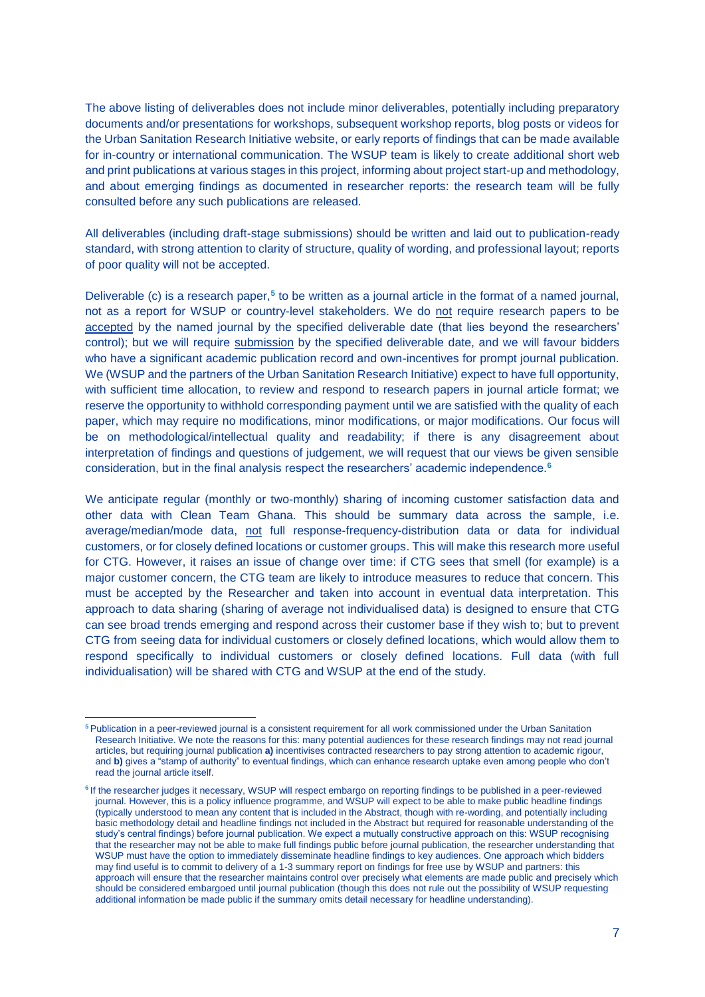The above listing of deliverables does not include minor deliverables, potentially including preparatory documents and/or presentations for workshops, subsequent workshop reports, blog posts or videos for the Urban Sanitation Research Initiative website, or early reports of findings that can be made available for in-country or international communication. The WSUP team is likely to create additional short web and print publications at various stages in this project, informing about project start-up and methodology, and about emerging findings as documented in researcher reports: the research team will be fully consulted before any such publications are released.

All deliverables (including draft-stage submissions) should be written and laid out to publication-ready standard, with strong attention to clarity of structure, quality of wording, and professional layout; reports of poor quality will not be accepted.

Deliverable (c) is a research paper,**<sup>5</sup>** to be written as a journal article in the format of a named journal, not as a report for WSUP or country-level stakeholders. We do not require research papers to be accepted by the named journal by the specified deliverable date (that lies beyond the researchers' control); but we will require submission by the specified deliverable date, and we will favour bidders who have a significant academic publication record and own-incentives for prompt journal publication. We (WSUP and the partners of the Urban Sanitation Research Initiative) expect to have full opportunity, with sufficient time allocation, to review and respond to research papers in journal article format; we reserve the opportunity to withhold corresponding payment until we are satisfied with the quality of each paper, which may require no modifications, minor modifications, or major modifications. Our focus will be on methodological/intellectual quality and readability; if there is any disagreement about interpretation of findings and questions of judgement, we will request that our views be given sensible consideration, but in the final analysis respect the researchers' academic independence.**<sup>6</sup>**

We anticipate regular (monthly or two-monthly) sharing of incoming customer satisfaction data and other data with Clean Team Ghana. This should be summary data across the sample, i.e. average/median/mode data, not full response-frequency-distribution data or data for individual customers, or for closely defined locations or customer groups. This will make this research more useful for CTG. However, it raises an issue of change over time: if CTG sees that smell (for example) is a major customer concern, the CTG team are likely to introduce measures to reduce that concern. This must be accepted by the Researcher and taken into account in eventual data interpretation. This approach to data sharing (sharing of average not individualised data) is designed to ensure that CTG can see broad trends emerging and respond across their customer base if they wish to; but to prevent CTG from seeing data for individual customers or closely defined locations, which would allow them to respond specifically to individual customers or closely defined locations. Full data (with full individualisation) will be shared with CTG and WSUP at the end of the study.

-

**<sup>5</sup>** Publication in a peer-reviewed journal is a consistent requirement for all work commissioned under the Urban Sanitation Research Initiative. We note the reasons for this: many potential audiences for these research findings may not read journal articles, but requiring journal publication **a)** incentivises contracted researchers to pay strong attention to academic rigour, and **b)** gives a "stamp of authority" to eventual findings, which can enhance research uptake even among people who don't read the journal article itself.

<sup>&</sup>lt;sup>6</sup> If the researcher judges it necessary, WSUP will respect embargo on reporting findings to be published in a peer-reviewed journal. However, this is a policy influence programme, and WSUP will expect to be able to make public headline findings (typically understood to mean any content that is included in the Abstract, though with re-wording, and potentially including basic methodology detail and headline findings not included in the Abstract but required for reasonable understanding of the study's central findings) before journal publication. We expect a mutually constructive approach on this: WSUP recognising that the researcher may not be able to make full findings public before journal publication, the researcher understanding that WSUP must have the option to immediately disseminate headline findings to key audiences. One approach which bidders may find useful is to commit to delivery of a 1-3 summary report on findings for free use by WSUP and partners: this approach will ensure that the researcher maintains control over precisely what elements are made public and precisely which should be considered embargoed until journal publication (though this does not rule out the possibility of WSUP requesting additional information be made public if the summary omits detail necessary for headline understanding).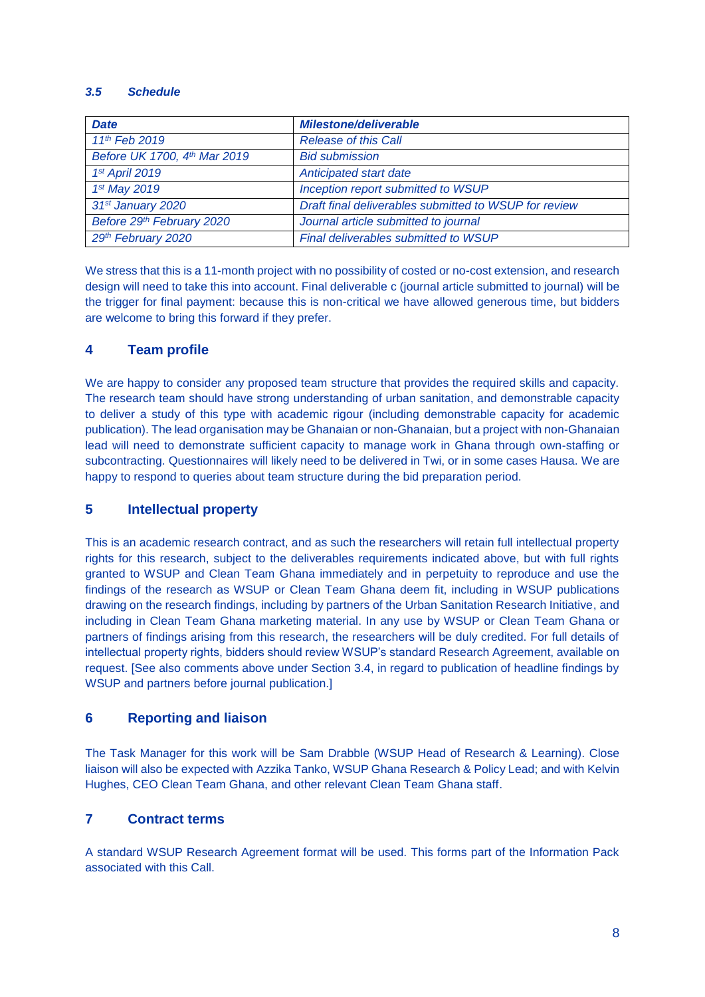#### *3.5 Schedule*

| <b>Date</b>                  | <b>Milestone/deliverable</b>                          |
|------------------------------|-------------------------------------------------------|
| 11 <sup>th</sup> Feb 2019    | <b>Release of this Call</b>                           |
| Before UK 1700, 4th Mar 2019 | <b>Bid submission</b>                                 |
| 1st April 2019               | Anticipated start date                                |
| 1st May 2019                 | Inception report submitted to WSUP                    |
| 31st January 2020            | Draft final deliverables submitted to WSUP for review |
| Before 29th February 2020    | Journal article submitted to journal                  |
| 29th February 2020           | Final deliverables submitted to WSUP                  |

We stress that this is a 11-month project with no possibility of costed or no-cost extension, and research design will need to take this into account. Final deliverable c (journal article submitted to journal) will be the trigger for final payment: because this is non-critical we have allowed generous time, but bidders are welcome to bring this forward if they prefer.

# **4 Team profile**

We are happy to consider any proposed team structure that provides the required skills and capacity. The research team should have strong understanding of urban sanitation, and demonstrable capacity to deliver a study of this type with academic rigour (including demonstrable capacity for academic publication). The lead organisation may be Ghanaian or non-Ghanaian, but a project with non-Ghanaian lead will need to demonstrate sufficient capacity to manage work in Ghana through own-staffing or subcontracting. Questionnaires will likely need to be delivered in Twi, or in some cases Hausa. We are happy to respond to queries about team structure during the bid preparation period.

# **5 Intellectual property**

This is an academic research contract, and as such the researchers will retain full intellectual property rights for this research, subject to the deliverables requirements indicated above, but with full rights granted to WSUP and Clean Team Ghana immediately and in perpetuity to reproduce and use the findings of the research as WSUP or Clean Team Ghana deem fit, including in WSUP publications drawing on the research findings, including by partners of the Urban Sanitation Research Initiative, and including in Clean Team Ghana marketing material. In any use by WSUP or Clean Team Ghana or partners of findings arising from this research, the researchers will be duly credited. For full details of intellectual property rights, bidders should review WSUP's standard Research Agreement, available on request. [See also comments above under Section 3.4, in regard to publication of headline findings by WSUP and partners before journal publication.]

# **6 Reporting and liaison**

The Task Manager for this work will be Sam Drabble (WSUP Head of Research & Learning). Close liaison will also be expected with Azzika Tanko, WSUP Ghana Research & Policy Lead; and with Kelvin Hughes, CEO Clean Team Ghana, and other relevant Clean Team Ghana staff.

# **7 Contract terms**

A standard WSUP Research Agreement format will be used. This forms part of the Information Pack associated with this Call.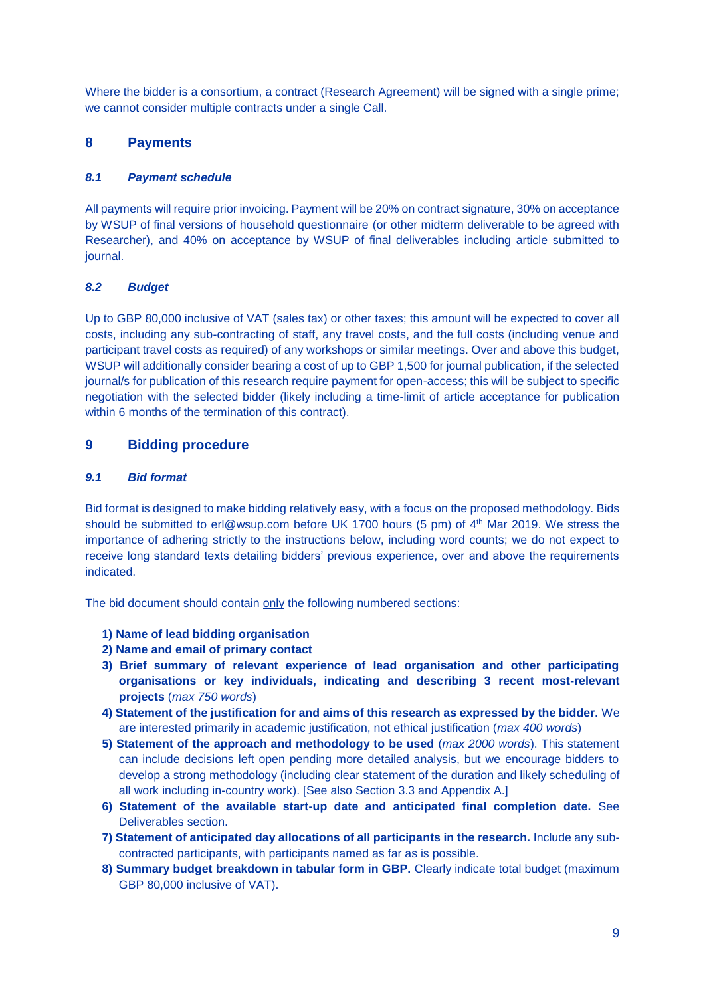Where the bidder is a consortium, a contract (Research Agreement) will be signed with a single prime; we cannot consider multiple contracts under a single Call.

# **8 Payments**

#### *8.1 Payment schedule*

All payments will require prior invoicing. Payment will be 20% on contract signature, 30% on acceptance by WSUP of final versions of household questionnaire (or other midterm deliverable to be agreed with Researcher), and 40% on acceptance by WSUP of final deliverables including article submitted to journal.

#### *8.2 Budget*

Up to GBP 80,000 inclusive of VAT (sales tax) or other taxes; this amount will be expected to cover all costs, including any sub-contracting of staff, any travel costs, and the full costs (including venue and participant travel costs as required) of any workshops or similar meetings. Over and above this budget, WSUP will additionally consider bearing a cost of up to GBP 1,500 for journal publication, if the selected journal/s for publication of this research require payment for open-access; this will be subject to specific negotiation with the selected bidder (likely including a time-limit of article acceptance for publication within 6 months of the termination of this contract).

# **9 Bidding procedure**

#### *9.1 Bid format*

Bid format is designed to make bidding relatively easy, with a focus on the proposed methodology. Bids should be submitted to e[rl@wsup.com](mailto:@wsup.com) before UK 1700 hours (5 pm) of 4<sup>th</sup> Mar 2019. We stress the importance of adhering strictly to the instructions below, including word counts; we do not expect to receive long standard texts detailing bidders' previous experience, over and above the requirements indicated.

The bid document should contain only the following numbered sections:

- **1) Name of lead bidding organisation**
- **2) Name and email of primary contact**
- **3) Brief summary of relevant experience of lead organisation and other participating organisations or key individuals, indicating and describing 3 recent most-relevant projects** (*max 750 words*)
- **4) Statement of the justification for and aims of this research as expressed by the bidder.** We are interested primarily in academic justification, not ethical justification (*max 400 words*)
- **5) Statement of the approach and methodology to be used** (*max 2000 words*). This statement can include decisions left open pending more detailed analysis, but we encourage bidders to develop a strong methodology (including clear statement of the duration and likely scheduling of all work including in-country work). [See also Section 3.3 and Appendix A.]
- **6) Statement of the available start-up date and anticipated final completion date.** See Deliverables section.
- **7) Statement of anticipated day allocations of all participants in the research.** Include any subcontracted participants, with participants named as far as is possible.
- **8) Summary budget breakdown in tabular form in GBP.** Clearly indicate total budget (maximum GBP 80,000 inclusive of VAT).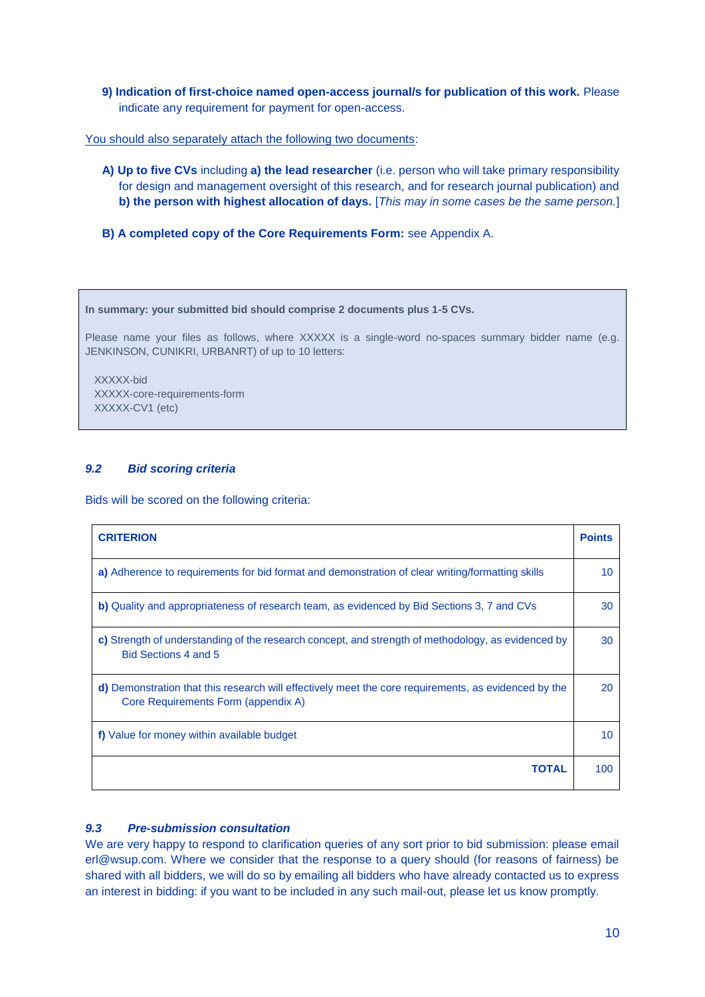**9) Indication of first-choice named open-access journal/s for publication of this work.** Please indicate any requirement for payment for open-access.

You should also separately attach the following two documents:

- **A) Up to five CVs** including **a) the lead researcher** (i.e. person who will take primary responsibility for design and management oversight of this research, and for research journal publication) and **b) the person with highest allocation of days.** [*This may in some cases be the same person.*]
- **B) A completed copy of the Core Requirements Form:** see Appendix A.

**In summary: your submitted bid should comprise 2 documents plus 1-5 CVs.**

Please name your files as follows, where XXXXX is a single-word no-spaces summary bidder name (e.g. JENKINSON, CUNIKRI, URBANRT) of up to 10 letters:

 XXXXX-bid XXXXX-core-requirements-form XXXXX-CV1 (etc)

#### *9.2 Bid scoring criteria*

Bids will be scored on the following criteria:

| <b>CRITERION</b>                                                                                                                            | <b>Points</b> |
|---------------------------------------------------------------------------------------------------------------------------------------------|---------------|
| a) Adherence to requirements for bid format and demonstration of clear writing/formatting skills                                            | 10            |
| b) Quality and appropriateness of research team, as evidenced by Bid Sections 3, 7 and CVs                                                  |               |
| c) Strength of understanding of the research concept, and strength of methodology, as evidenced by<br>Bid Sections 4 and 5                  | 30            |
| d) Demonstration that this research will effectively meet the core requirements, as evidenced by the<br>Core Requirements Form (appendix A) |               |
| f) Value for money within available budget                                                                                                  |               |
| <b>TOTAL</b>                                                                                                                                | 100           |

#### *9.3 Pre-submission consultation*

We are very happy to respond to clarification queries of any sort prior to bid submission: please email erl@wsup.com. Where we consider that the response to a query should (for reasons of fairness) be shared with all bidders, we will do so by emailing all bidders who have already contacted us to express an interest in bidding: if you want to be included in any such mail-out, please let us know promptly.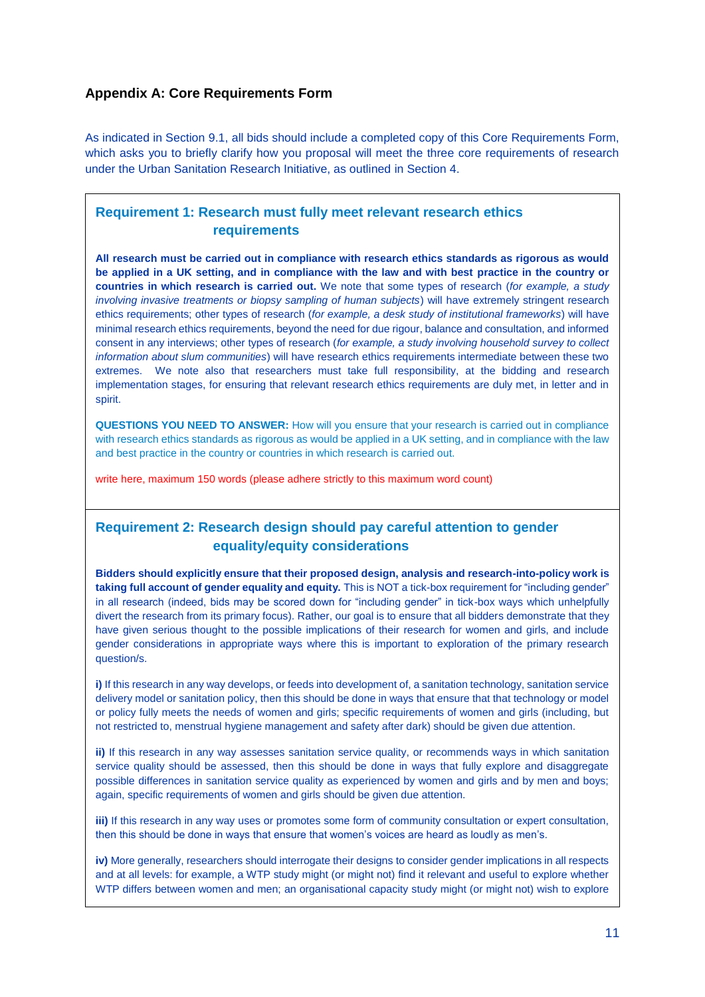# **Appendix A: Core Requirements Form**

As indicated in Section 9.1, all bids should include a completed copy of this Core Requirements Form, which asks you to briefly clarify how you proposal will meet the three core requirements of research under the Urban Sanitation Research Initiative, as outlined in Section 4.

# **Requirement 1: Research must fully meet relevant research ethics requirements**

**All research must be carried out in compliance with research ethics standards as rigorous as would be applied in a UK setting, and in compliance with the law and with best practice in the country or countries in which research is carried out.** We note that some types of research (*for example, a study involving invasive treatments or biopsy sampling of human subjects*) will have extremely stringent research ethics requirements; other types of research (*for example, a desk study of institutional frameworks*) will have minimal research ethics requirements, beyond the need for due rigour, balance and consultation, and informed consent in any interviews; other types of research (*for example, a study involving household survey to collect information about slum communities*) will have research ethics requirements intermediate between these two extremes. We note also that researchers must take full responsibility, at the bidding and research implementation stages, for ensuring that relevant research ethics requirements are duly met, in letter and in spirit.

**QUESTIONS YOU NEED TO ANSWER:** How will you ensure that your research is carried out in compliance with research ethics standards as rigorous as would be applied in a UK setting, and in compliance with the law and best practice in the country or countries in which research is carried out.

write here, maximum 150 words (please adhere strictly to this maximum word count)

# **Requirement 2: Research design should pay careful attention to gender equality/equity considerations**

**Bidders should explicitly ensure that their proposed design, analysis and research-into-policy work is taking full account of gender equality and equity.** This is NOT a tick-box requirement for "including gender" in all research (indeed, bids may be scored down for "including gender" in tick-box ways which unhelpfully divert the research from its primary focus). Rather, our goal is to ensure that all bidders demonstrate that they have given serious thought to the possible implications of their research for women and girls, and include gender considerations in appropriate ways where this is important to exploration of the primary research question/s.

**i)** If this research in any way develops, or feeds into development of, a sanitation technology, sanitation service delivery model or sanitation policy, then this should be done in ways that ensure that that technology or model or policy fully meets the needs of women and girls; specific requirements of women and girls (including, but not restricted to, menstrual hygiene management and safety after dark) should be given due attention.

**ii)** If this research in any way assesses sanitation service quality, or recommends ways in which sanitation service quality should be assessed, then this should be done in ways that fully explore and disaggregate possible differences in sanitation service quality as experienced by women and girls and by men and boys; again, specific requirements of women and girls should be given due attention.

**iii)** If this research in any way uses or promotes some form of community consultation or expert consultation, then this should be done in ways that ensure that women's voices are heard as loudly as men's.

**iv)** More generally, researchers should interrogate their designs to consider gender implications in all respects and at all levels: for example, a WTP study might (or might not) find it relevant and useful to explore whether WTP differs between women and men; an organisational capacity study might (or might not) wish to explore